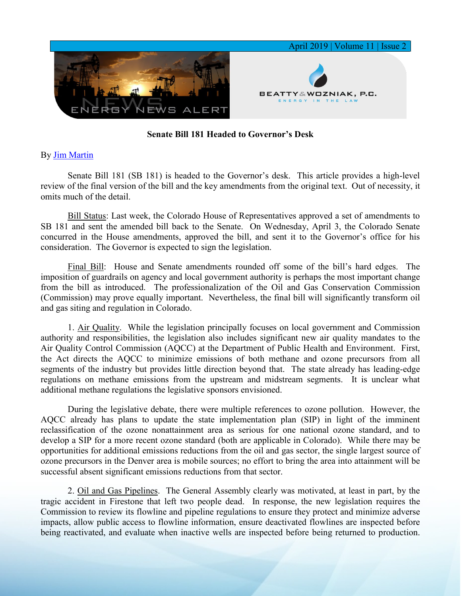

## **Senate Bill 181 Headed to Governor's Desk**

## By [Jim Martin](https://www.bwenergylaw.com/jim-martin)

Senate Bill 181 (SB 181) is headed to the Governor's desk. This article provides a high-level review of the final version of the bill and the key amendments from the original text. Out of necessity, it omits much of the detail.

Bill Status: Last week, the Colorado House of Representatives approved a set of amendments to SB 181 and sent the amended bill back to the Senate. On Wednesday, April 3, the Colorado Senate concurred in the House amendments, approved the bill, and sent it to the Governor's office for his consideration. The Governor is expected to sign the legislation.

Final Bill: House and Senate amendments rounded off some of the bill's hard edges. The imposition of guardrails on agency and local government authority is perhaps the most important change from the bill as introduced. The professionalization of the Oil and Gas Conservation Commission (Commission) may prove equally important. Nevertheless, the final bill will significantly transform oil and gas siting and regulation in Colorado.

1. Air Quality. While the legislation principally focuses on local government and Commission authority and responsibilities, the legislation also includes significant new air quality mandates to the Air Quality Control Commission (AQCC) at the Department of Public Health and Environment. First, the Act directs the AQCC to minimize emissions of both methane and ozone precursors from all segments of the industry but provides little direction beyond that. The state already has leading-edge regulations on methane emissions from the upstream and midstream segments. It is unclear what additional methane regulations the legislative sponsors envisioned.

During the legislative debate, there were multiple references to ozone pollution. However, the AQCC already has plans to update the state implementation plan (SIP) in light of the imminent reclassification of the ozone nonattainment area as serious for one national ozone standard, and to develop a SIP for a more recent ozone standard (both are applicable in Colorado). While there may be opportunities for additional emissions reductions from the oil and gas sector, the single largest source of ozone precursors in the Denver area is mobile sources; no effort to bring the area into attainment will be successful absent significant emissions reductions from that sector.

2. Oil and Gas Pipelines. The General Assembly clearly was motivated, at least in part, by the tragic accident in Firestone that left two people dead. In response, the new legislation requires the Commission to review its flowline and pipeline regulations to ensure they protect and minimize adverse impacts, allow public access to flowline information, ensure deactivated flowlines are inspected before being reactivated, and evaluate when inactive wells are inspected before being returned to production.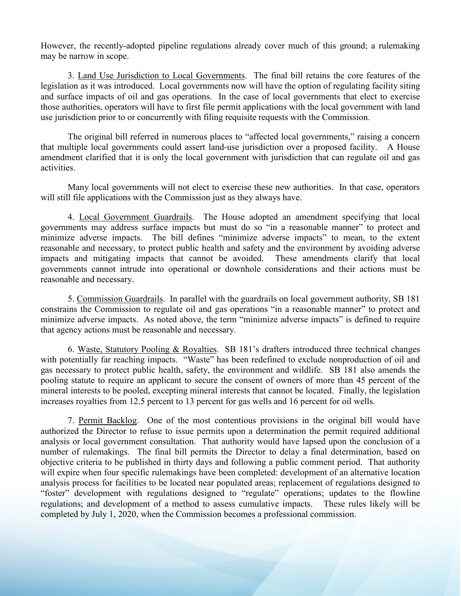However, the recently-adopted pipeline regulations already cover much of this ground; a rulemaking may be narrow in scope.

3. Land Use Jurisdiction to Local Governments. The final bill retains the core features of the legislation as it was introduced. Local governments now will have the option of regulating facility siting and surface impacts of oil and gas operations. In the case of local governments that elect to exercise those authorities, operators will have to first file permit applications with the local government with land use jurisdiction prior to or concurrently with filing requisite requests with the Commission.

The original bill referred in numerous places to "affected local governments," raising a concern that multiple local governments could assert land-use jurisdiction over a proposed facility. A House amendment clarified that it is only the local government with jurisdiction that can regulate oil and gas activities.

Many local governments will not elect to exercise these new authorities. In that case, operators will still file applications with the Commission just as they always have.

4. Local Government Guardrails. The House adopted an amendment specifying that local governments may address surface impacts but must do so "in a reasonable manner" to protect and minimize adverse impacts. The bill defines "minimize adverse impacts" to mean, to the extent reasonable and necessary, to protect public health and safety and the environment by avoiding adverse impacts and mitigating impacts that cannot be avoided. These amendments clarify that local governments cannot intrude into operational or downhole considerations and their actions must be reasonable and necessary.

5. Commission Guardrails. In parallel with the guardrails on local government authority, SB 181 constrains the Commission to regulate oil and gas operations "in a reasonable manner" to protect and minimize adverse impacts. As noted above, the term "minimize adverse impacts" is defined to require that agency actions must be reasonable and necessary.

6. Waste, Statutory Pooling & Royalties. SB 181's drafters introduced three technical changes with potentially far reaching impacts. "Waste" has been redefined to exclude nonproduction of oil and gas necessary to protect public health, safety, the environment and wildlife. SB 181 also amends the pooling statute to require an applicant to secure the consent of owners of more than 45 percent of the mineral interests to be pooled, excepting mineral interests that cannot be located. Finally, the legislation increases royalties from 12.5 percent to 13 percent for gas wells and 16 percent for oil wells.

7. Permit Backlog. One of the most contentious provisions in the original bill would have authorized the Director to refuse to issue permits upon a determination the permit required additional analysis or local government consultation. That authority would have lapsed upon the conclusion of a number of rulemakings. The final bill permits the Director to delay a final determination, based on objective criteria to be published in thirty days and following a public comment period. That authority will expire when four specific rulemakings have been completed: development of an alternative location analysis process for facilities to be located near populated areas; replacement of regulations designed to "foster" development with regulations designed to "regulate" operations; updates to the flowline regulations; and development of a method to assess cumulative impacts. These rules likely will be completed by July 1, 2020, when the Commission becomes a professional commission.